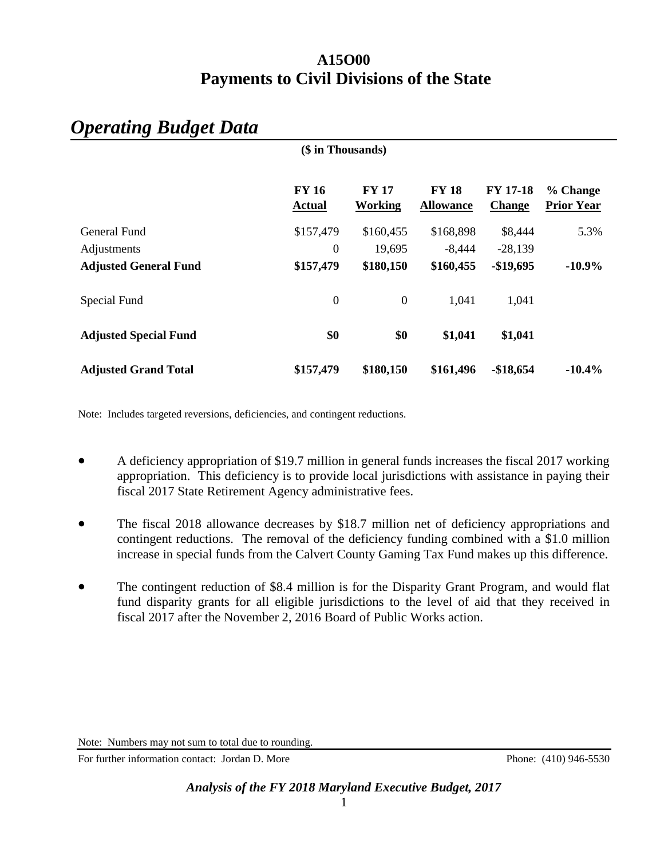## **A15O00 Payments to Civil Divisions of the State**

|                              | (\$ in Thousands)             |                         |                                  |                                  |                               |
|------------------------------|-------------------------------|-------------------------|----------------------------------|----------------------------------|-------------------------------|
|                              | <b>FY 16</b><br><b>Actual</b> | <b>FY 17</b><br>Working | <b>FY 18</b><br><b>Allowance</b> | <b>FY 17-18</b><br><b>Change</b> | % Change<br><b>Prior Year</b> |
| General Fund                 | \$157,479                     | \$160,455               | \$168,898                        | \$8,444                          | 5.3%                          |
| Adjustments                  | $\theta$                      | 19,695                  | $-8,444$                         | $-28,139$                        |                               |
| <b>Adjusted General Fund</b> | \$157,479                     | \$180,150               | \$160,455                        | $-$19,695$                       | $-10.9\%$                     |
| Special Fund                 | $\mathbf{0}$                  | $\boldsymbol{0}$        | 1,041                            | 1,041                            |                               |
| <b>Adjusted Special Fund</b> | \$0                           | \$0                     | \$1,041                          | \$1,041                          |                               |
| <b>Adjusted Grand Total</b>  | \$157,479                     | \$180,150               | \$161,496                        | $-$18,654$                       | $-10.4%$                      |

# *Operating Budget Data*

Note: Includes targeted reversions, deficiencies, and contingent reductions.

- A deficiency appropriation of \$19.7 million in general funds increases the fiscal 2017 working appropriation. This deficiency is to provide local jurisdictions with assistance in paying their fiscal 2017 State Retirement Agency administrative fees.
- The fiscal 2018 allowance decreases by \$18.7 million net of deficiency appropriations and contingent reductions. The removal of the deficiency funding combined with a \$1.0 million increase in special funds from the Calvert County Gaming Tax Fund makes up this difference.
- The contingent reduction of \$8.4 million is for the Disparity Grant Program, and would flat fund disparity grants for all eligible jurisdictions to the level of aid that they received in fiscal 2017 after the November 2, 2016 Board of Public Works action.

For further information contact: Jordan D. More Phone: (410) 946-5530

Note: Numbers may not sum to total due to rounding.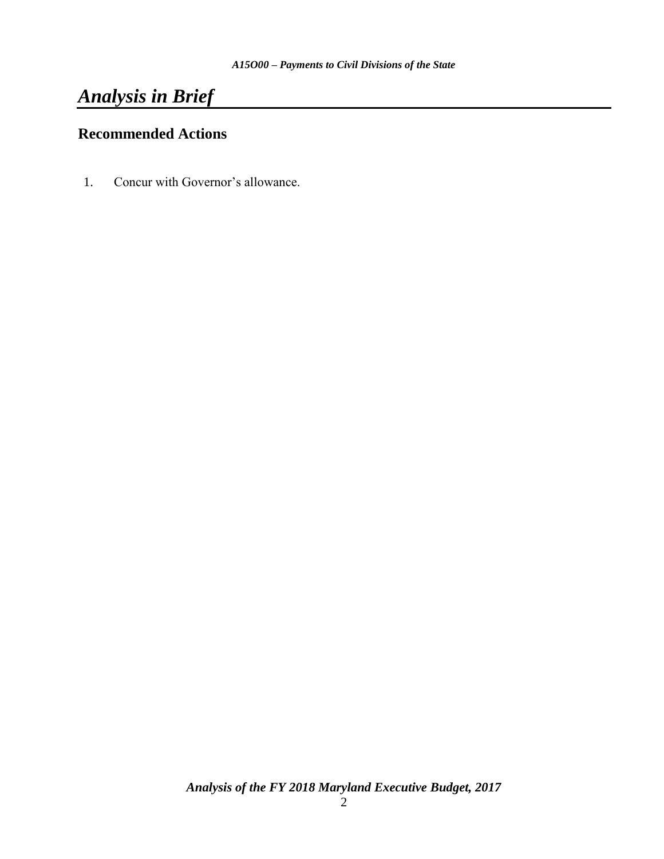# *Analysis in Brief*

## **Recommended Actions**

1. Concur with Governor's allowance.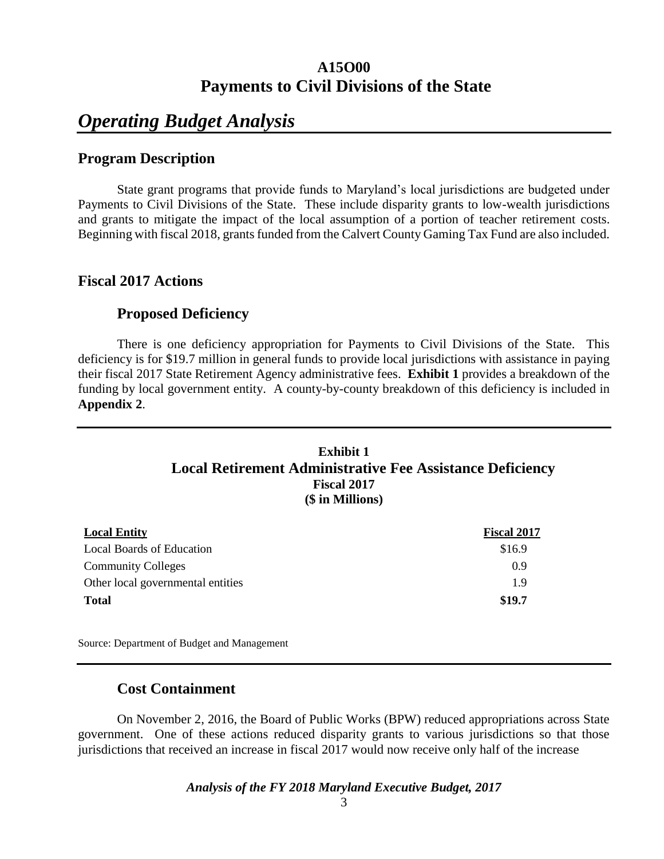## **A15O00 Payments to Civil Divisions of the State**

# *Operating Budget Analysis*

#### **Program Description**

State grant programs that provide funds to Maryland's local jurisdictions are budgeted under Payments to Civil Divisions of the State. These include disparity grants to low-wealth jurisdictions and grants to mitigate the impact of the local assumption of a portion of teacher retirement costs. Beginning with fiscal 2018, grants funded from the Calvert County Gaming Tax Fund are also included.

#### **Fiscal 2017 Actions**

#### **Proposed Deficiency**

There is one deficiency appropriation for Payments to Civil Divisions of the State. This deficiency is for \$19.7 million in general funds to provide local jurisdictions with assistance in paying their fiscal 2017 State Retirement Agency administrative fees. **Exhibit 1** provides a breakdown of the funding by local government entity. A county-by-county breakdown of this deficiency is included in **Appendix 2**.

#### **Exhibit 1 Local Retirement Administrative Fee Assistance Deficiency Fiscal 2017 (\$ in Millions)**

| <b>Local Entity</b>               | <b>Fiscal 2017</b> |
|-----------------------------------|--------------------|
| <b>Local Boards of Education</b>  | \$16.9             |
| <b>Community Colleges</b>         | 0.9                |
| Other local governmental entities | 19                 |
| <b>Total</b>                      | \$19.7             |

Source: Department of Budget and Management

#### **Cost Containment**

On November 2, 2016, the Board of Public Works (BPW) reduced appropriations across State government. One of these actions reduced disparity grants to various jurisdictions so that those jurisdictions that received an increase in fiscal 2017 would now receive only half of the increase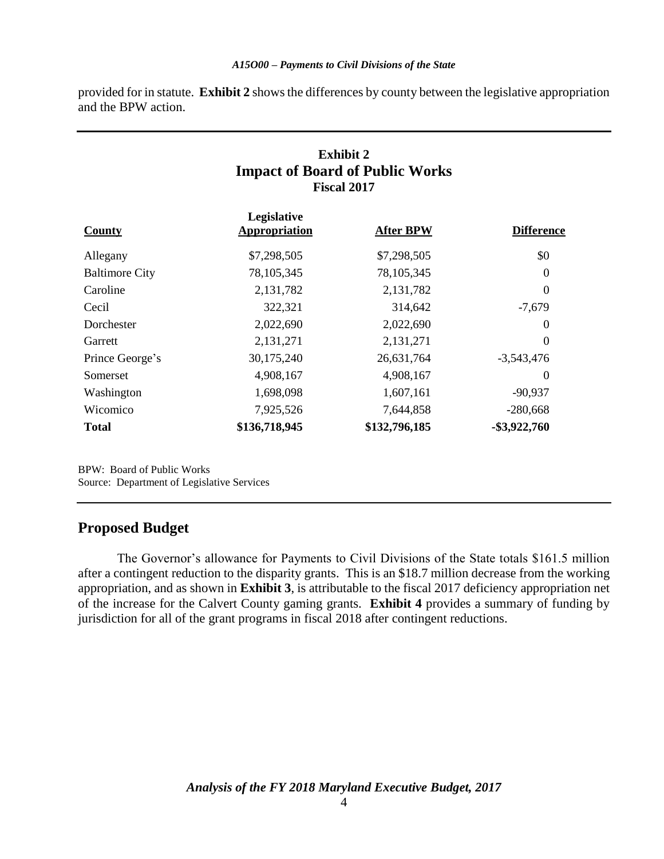provided for in statute. **Exhibit 2** shows the differences by county between the legislative appropriation and the BPW action.

## **Exhibit 2 Impact of Board of Public Works Fiscal 2017**

| County                | Legislative<br><b>Appropriation</b> | <b>After BPW</b> | <b>Difference</b> |
|-----------------------|-------------------------------------|------------------|-------------------|
| Allegany              | \$7,298,505                         | \$7,298,505      | \$0               |
| <b>Baltimore City</b> | 78, 105, 345                        | 78, 105, 345     | $\Omega$          |
| Caroline              | 2,131,782                           | 2,131,782        | $\Omega$          |
| Cecil                 | 322,321                             | 314,642          | $-7,679$          |
| Dorchester            | 2,022,690                           | 2,022,690        | $\Omega$          |
| Garrett               | 2,131,271                           | 2,131,271        | $\theta$          |
| Prince George's       | 30,175,240                          | 26,631,764       | $-3,543,476$      |
| Somerset              | 4,908,167                           | 4,908,167        | $\Omega$          |
| Washington            | 1,698,098                           | 1,607,161        | $-90,937$         |
| Wicomico              | 7,925,526                           | 7,644,858        | $-280,668$        |
| <b>Total</b>          | \$136,718,945                       | \$132,796,185    | $-$ \$3,922,760   |

BPW: Board of Public Works Source: Department of Legislative Services

## **Proposed Budget**

The Governor's allowance for Payments to Civil Divisions of the State totals \$161.5 million after a contingent reduction to the disparity grants. This is an \$18.7 million decrease from the working appropriation, and as shown in **Exhibit 3**, is attributable to the fiscal 2017 deficiency appropriation net of the increase for the Calvert County gaming grants. **Exhibit 4** provides a summary of funding by jurisdiction for all of the grant programs in fiscal 2018 after contingent reductions.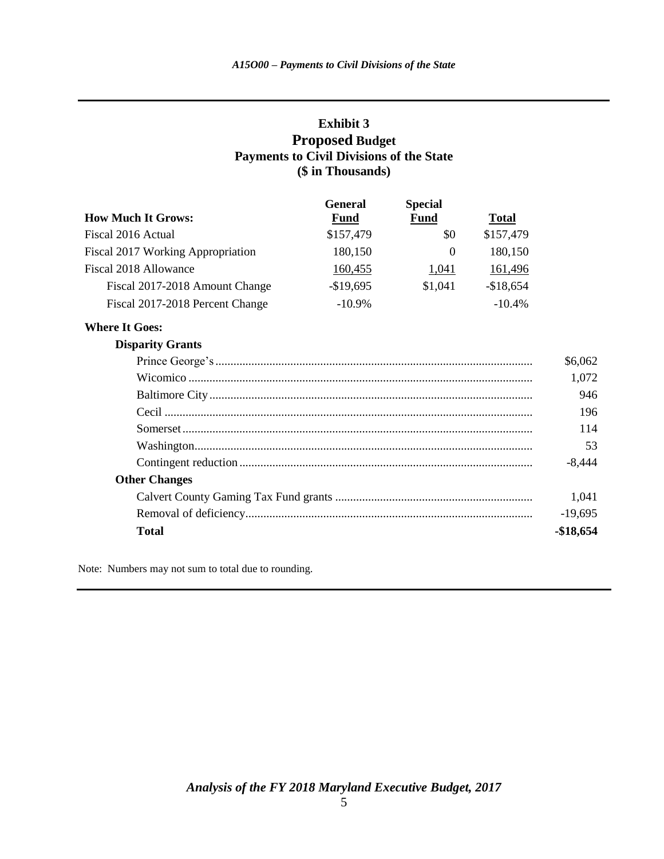#### **Exhibit 3 Proposed Budget Payments to Civil Divisions of the State (\$ in Thousands)**

|                                   | <b>General</b> | <b>Special</b> |              |
|-----------------------------------|----------------|----------------|--------------|
| <b>How Much It Grows:</b>         | <b>Fund</b>    | <b>Fund</b>    | <b>Total</b> |
| Fiscal 2016 Actual                | \$157,479      | \$0            | \$157,479    |
| Fiscal 2017 Working Appropriation | 180,150        | 0              | 180,150      |
| Fiscal 2018 Allowance             | 160,455        | 1,041          | 161,496      |
| Fiscal 2017-2018 Amount Change    | $-$19,695$     | \$1,041        | $-$18,654$   |
| Fiscal 2017-2018 Percent Change   | $-10.9\%$      |                | $-10.4\%$    |

#### **Where It Goes:**

#### **Disparity Grants**

|                      | \$6,062   |
|----------------------|-----------|
|                      | 1,072     |
|                      | 946       |
|                      | 196       |
|                      | 114       |
|                      | 53        |
|                      | $-8.444$  |
| <b>Other Changes</b> |           |
|                      | 1,041     |
|                      | $-19,695$ |
| Total                | -\$18,654 |

Note: Numbers may not sum to total due to rounding.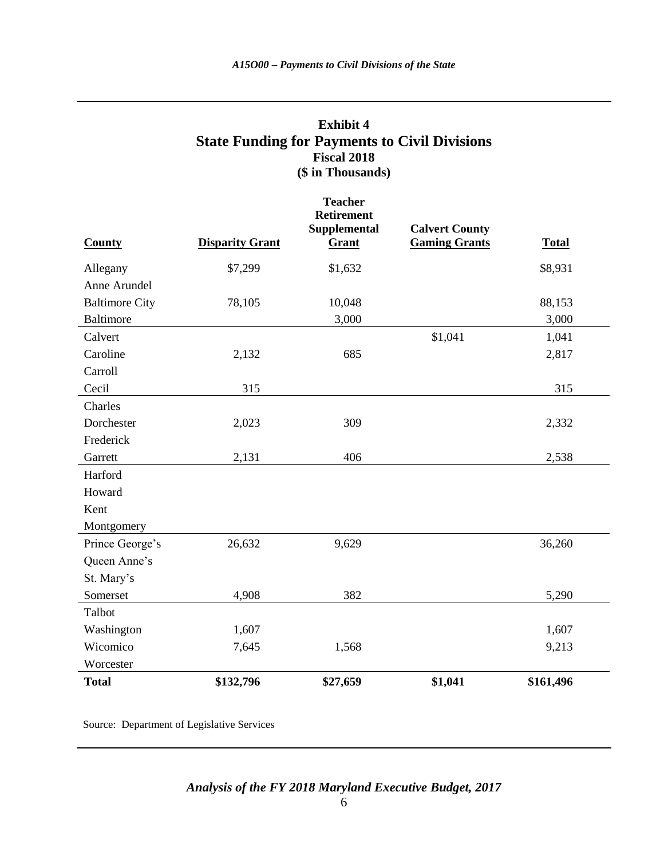#### **Exhibit 4 State Funding for Payments to Civil Divisions Fiscal 2018 (\$ in Thousands)**

|                       |                        | <b>Teacher</b><br><b>Retirement</b> |                                               |              |
|-----------------------|------------------------|-------------------------------------|-----------------------------------------------|--------------|
| <b>County</b>         | <b>Disparity Grant</b> | Supplemental<br>Grant               | <b>Calvert County</b><br><b>Gaming Grants</b> | <b>Total</b> |
| Allegany              | \$7,299                | \$1,632                             |                                               | \$8,931      |
| Anne Arundel          |                        |                                     |                                               |              |
| <b>Baltimore City</b> | 78,105                 | 10,048                              |                                               | 88,153       |
| <b>Baltimore</b>      |                        | 3,000                               |                                               | 3,000        |
| Calvert               |                        |                                     | \$1,041                                       | 1,041        |
| Caroline              | 2,132                  | 685                                 |                                               | 2,817        |
| Carroll               |                        |                                     |                                               |              |
| Cecil                 | 315                    |                                     |                                               | 315          |
| Charles               |                        |                                     |                                               |              |
| Dorchester            | 2,023                  | 309                                 |                                               | 2,332        |
| Frederick             |                        |                                     |                                               |              |
| Garrett               | 2,131                  | 406                                 |                                               | 2,538        |
| Harford               |                        |                                     |                                               |              |
| Howard                |                        |                                     |                                               |              |
| Kent                  |                        |                                     |                                               |              |
| Montgomery            |                        |                                     |                                               |              |
| Prince George's       | 26,632                 | 9,629                               |                                               | 36,260       |
| Queen Anne's          |                        |                                     |                                               |              |
| St. Mary's            |                        |                                     |                                               |              |
| Somerset              | 4,908                  | 382                                 |                                               | 5,290        |
| Talbot                |                        |                                     |                                               |              |
| Washington            | 1,607                  |                                     |                                               | 1,607        |
| Wicomico              | 7,645                  | 1,568                               |                                               | 9,213        |
| Worcester             |                        |                                     |                                               |              |
| <b>Total</b>          | \$132,796              | \$27,659                            | \$1,041                                       | \$161,496    |

Source: Department of Legislative Services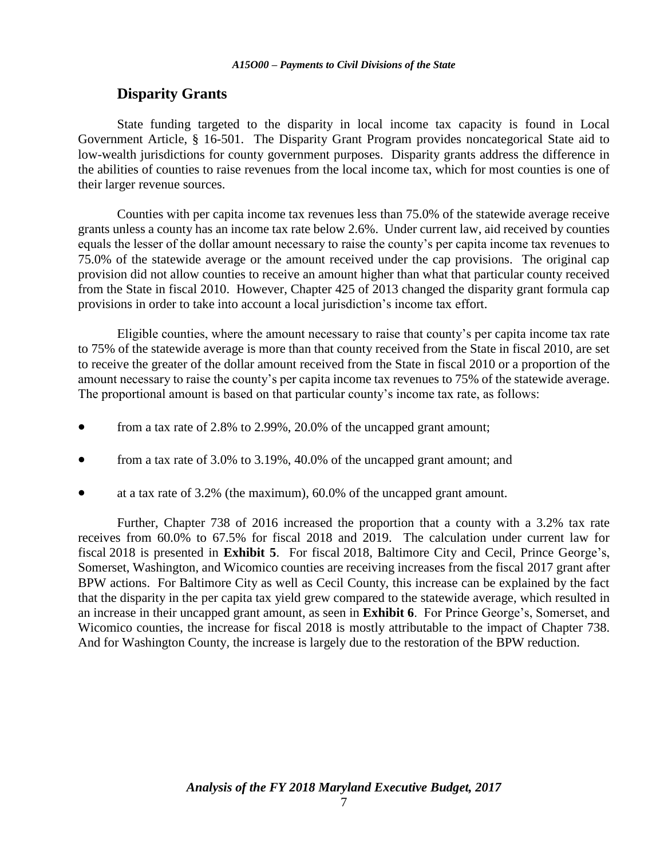## **Disparity Grants**

State funding targeted to the disparity in local income tax capacity is found in Local Government Article, § 16-501. The Disparity Grant Program provides noncategorical State aid to low-wealth jurisdictions for county government purposes. Disparity grants address the difference in the abilities of counties to raise revenues from the local income tax, which for most counties is one of their larger revenue sources.

Counties with per capita income tax revenues less than 75.0% of the statewide average receive grants unless a county has an income tax rate below 2.6%. Under current law, aid received by counties equals the lesser of the dollar amount necessary to raise the county's per capita income tax revenues to 75.0% of the statewide average or the amount received under the cap provisions. The original cap provision did not allow counties to receive an amount higher than what that particular county received from the State in fiscal 2010. However, Chapter 425 of 2013 changed the disparity grant formula cap provisions in order to take into account a local jurisdiction's income tax effort.

Eligible counties, where the amount necessary to raise that county's per capita income tax rate to 75% of the statewide average is more than that county received from the State in fiscal 2010, are set to receive the greater of the dollar amount received from the State in fiscal 2010 or a proportion of the amount necessary to raise the county's per capita income tax revenues to 75% of the statewide average. The proportional amount is based on that particular county's income tax rate, as follows:

- from a tax rate of 2.8% to 2.99%, 20.0% of the uncapped grant amount;
- from a tax rate of 3.0% to 3.19%, 40.0% of the uncapped grant amount; and
- at a tax rate of 3.2% (the maximum), 60.0% of the uncapped grant amount.

Further, Chapter 738 of 2016 increased the proportion that a county with a 3.2% tax rate receives from 60.0% to 67.5% for fiscal 2018 and 2019. The calculation under current law for fiscal 2018 is presented in **Exhibit 5**. For fiscal 2018, Baltimore City and Cecil, Prince George's, Somerset, Washington, and Wicomico counties are receiving increases from the fiscal 2017 grant after BPW actions. For Baltimore City as well as Cecil County, this increase can be explained by the fact that the disparity in the per capita tax yield grew compared to the statewide average, which resulted in an increase in their uncapped grant amount, as seen in **Exhibit 6**. For Prince George's, Somerset, and Wicomico counties, the increase for fiscal 2018 is mostly attributable to the impact of Chapter 738. And for Washington County, the increase is largely due to the restoration of the BPW reduction.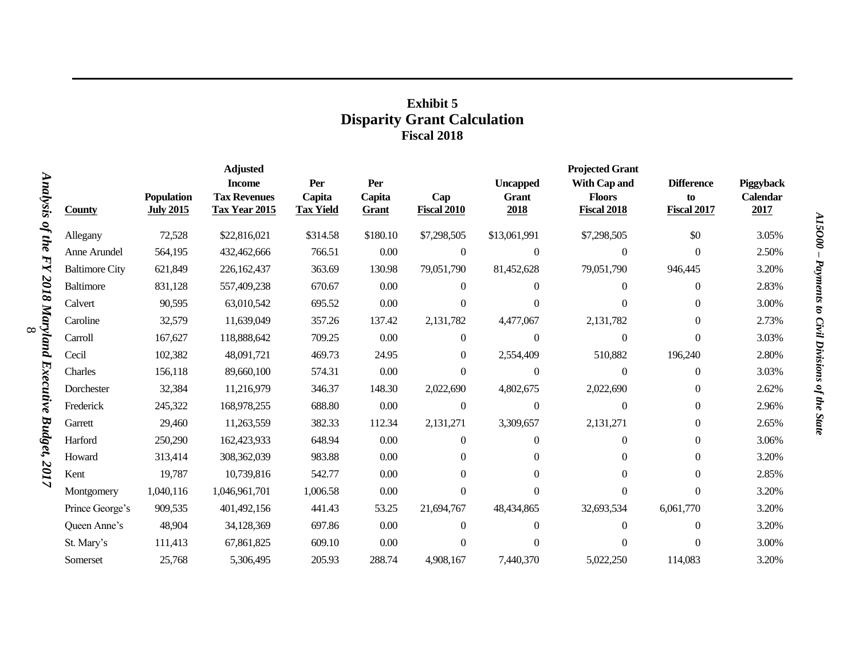### **Exhibit 5 Disparity Grant Calculation Fiscal 2018**

|                 |                       |                                | <b>Adjusted</b>                      |                            |                 |                           |                      | <b>Projected Grant</b>              |                          |                         |
|-----------------|-----------------------|--------------------------------|--------------------------------------|----------------------------|-----------------|---------------------------|----------------------|-------------------------------------|--------------------------|-------------------------|
|                 |                       |                                | <b>Income</b>                        | Per                        | Per             |                           | <b>Uncapped</b>      | With Cap and                        | <b>Difference</b>        | Piggyback               |
| Analysis        | <b>County</b>         | Population<br><b>July 2015</b> | <b>Tax Revenues</b><br>Tax Year 2015 | Capita<br><b>Tax Yield</b> | Capita<br>Grant | Cap<br><b>Fiscal 2010</b> | <b>Grant</b><br>2018 | <b>Floors</b><br><b>Fiscal 2018</b> | to<br><b>Fiscal 2017</b> | <b>Calendar</b><br>2017 |
| of the          | Allegany              | 72,528                         | \$22,816,021                         | \$314.58                   | \$180.10        | \$7,298,505               | \$13,061,991         | \$7,298,505                         | \$0                      | 3.05%                   |
|                 | Anne Arundel          | 564,195                        | 432,462,666                          | 766.51                     | 0.00            | $\theta$                  | $\theta$             | $\Omega$                            | $\Omega$                 | 2.50%                   |
| ИY              | <b>Baltimore City</b> | 621,849                        | 226,162,437                          | 363.69                     | 130.98          | 79,051,790                | 81,452,628           | 79,051,790                          | 946,445                  | 3.20%                   |
| 2018 Maryland   | Baltimore             | 831,128                        | 557,409,238                          | 670.67                     | 0.00            | $\mathbf{0}$              | $\Omega$             | $\overline{0}$                      | $\mathbf{0}$             | 2.83%                   |
|                 | Calvert               | 90,595                         | 63,010,542                           | 695.52                     | $0.00\,$        | $\Omega$                  | $\Omega$             | $\Omega$                            | $\overline{0}$           | 3.00%                   |
|                 | Caroline              | 32,579                         | 11,639,049                           | 357.26                     | 137.42          | 2,131,782                 | 4,477,067            | 2,131,782                           | $\mathbf{0}$             | 2.73%                   |
| $\infty$        | Carroll               | 167,627                        | 118,888,642                          | 709.25                     | $0.00\,$        | $\Omega$                  | $\theta$             | $\Omega$                            | $\Omega$                 | 3.03%                   |
|                 | Cecil                 | 102,382                        | 48,091,721                           | 469.73                     | 24.95           | $\Omega$                  | 2,554,409            | 510,882                             | 196,240                  | 2.80%                   |
|                 | Charles               | 156,118                        | 89,660,100                           | 574.31                     | $0.00\,$        | $\Omega$                  | $\theta$             | $\Omega$                            | $\mathbf{0}$             | 3.03%                   |
|                 | Dorchester            | 32,384                         | 11,216,979                           | 346.37                     | 148.30          | 2,022,690                 | 4,802,675            | 2,022,690                           | $\boldsymbol{0}$         | 2.62%                   |
|                 | Frederick             | 245,322                        | 168,978,255                          | 688.80                     | $0.00\,$        | $\mathbf{0}$              | $\mathbf{0}$         | $\Omega$                            | $\boldsymbol{0}$         | 2.96%                   |
|                 | Garrett               | 29,460                         | 11,263,559                           | 382.33                     | 112.34          | 2,131,271                 | 3,309,657            | 2,131,271                           | $\boldsymbol{0}$         | 2.65%                   |
| <b>Budget</b> , | Harford               | 250,290                        | 162,423,933                          | 648.94                     | 0.00            | $\Omega$                  | $\Omega$             | $\Omega$                            | $\overline{0}$           | 3.06%                   |
|                 | Howard                | 313,414                        | 308,362,039                          | 983.88                     | 0.00            | $\Omega$                  | $\Omega$             | $\Omega$                            | $\mathbf{0}$             | 3.20%                   |
| 701<br>Ñ.       | Kent                  | 19,787                         | 10,739,816                           | 542.77                     | 0.00            | $\Omega$                  | $\Omega$             | $\Omega$                            | $\overline{0}$           | 2.85%                   |
|                 | Montgomery            | 1,040,116                      | 1,046,961,701                        | 1,006.58                   | $0.00\,$        | $\Omega$                  | $\Omega$             | $\Omega$                            | $\Omega$                 | 3.20%                   |
|                 | Prince George's       | 909,535                        | 401,492,156                          | 441.43                     | 53.25           | 21,694,767                | 48,434,865           | 32,693,534                          | 6,061,770                | 3.20%                   |
|                 | Queen Anne's          | 48,904                         | 34,128,369                           | 697.86                     | 0.00            | $\Omega$                  | $\Omega$             | $\Omega$                            | $\mathbf{0}$             | 3.20%                   |
|                 | St. Mary's            | 111,413                        | 67,861,825                           | 609.10                     | 0.00            | $\Omega$                  | $\Omega$             | $\Omega$                            | $\Omega$                 | 3.00%                   |
|                 | Somerset              | 25,768                         | 5,306,495                            | 205.93                     | 288.74          | 4,908,167                 | 7,440,370            | 5,022,250                           | 114,083                  | 3.20%                   |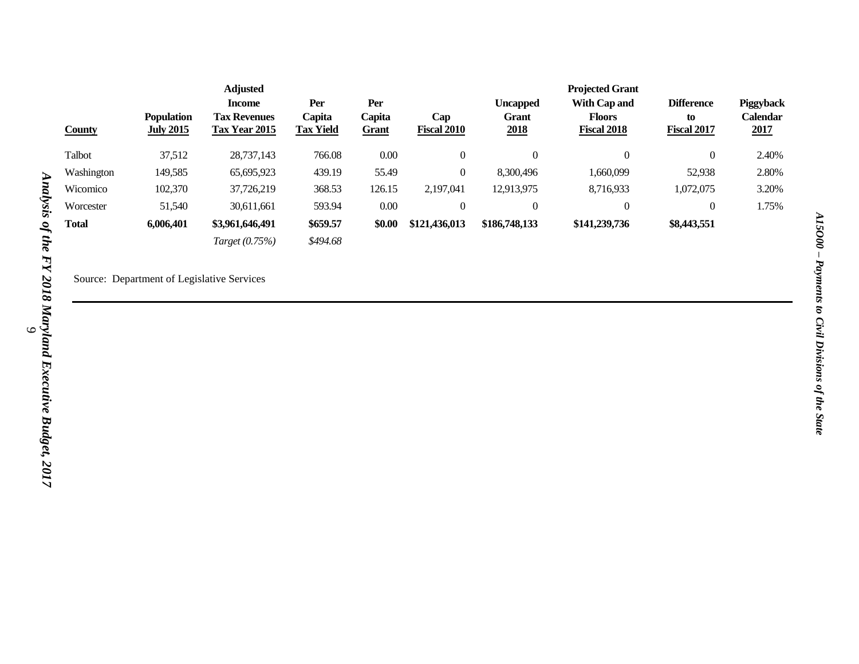|               |                                       | <b>Adjusted</b>                             |                            |                        |                           |                      | <b>Projected Grant</b>              |                          |                         |
|---------------|---------------------------------------|---------------------------------------------|----------------------------|------------------------|---------------------------|----------------------|-------------------------------------|--------------------------|-------------------------|
|               |                                       | <b>Income</b>                               | Per                        | Per                    |                           | <b>Uncapped</b>      | With Cap and                        | <b>Difference</b>        | <b>Piggyback</b>        |
| <b>County</b> | <b>Population</b><br><b>July 2015</b> | <b>Tax Revenues</b><br><b>Tax Year 2015</b> | Capita<br><b>Tax Yield</b> | Capita<br><b>Grant</b> | Cap<br><b>Fiscal 2010</b> | <b>Grant</b><br>2018 | <b>Floors</b><br><b>Fiscal 2018</b> | to<br><b>Fiscal 2017</b> | <b>Calendar</b><br>2017 |
| Talbot        | 37,512                                | 28,737,143                                  | 766.08                     | 0.00                   | $\overline{0}$            |                      | $\theta$                            | 0                        | 2.40%                   |
| Washington    | 149,585                               | 65,695,923                                  | 439.19                     | 55.49                  | 0                         | 8.300.496            | 1,660,099                           | 52,938                   | 2.80%                   |
| Wicomico      | 102,370                               | 37,726,219                                  | 368.53                     | 126.15                 | 2,197,041                 | 12,913,975           | 8,716,933                           | 1,072,075                | 3.20%                   |
| Worcester     | 51,540                                | 30,611,661                                  | 593.94                     | 0.00                   | $\overline{0}$            |                      | $\boldsymbol{0}$                    | 0                        | 1.75%                   |
| <b>Total</b>  | 6,006,401                             | \$3,961,646,491                             | \$659.57                   | \$0.00                 | \$121,436,013             | \$186,748,133        | \$141,239,736                       | \$8,443,551              |                         |
|               |                                       | Target (0.75%)                              | \$494.68                   |                        |                           |                      |                                     |                          |                         |

Source: Department of Legislative Services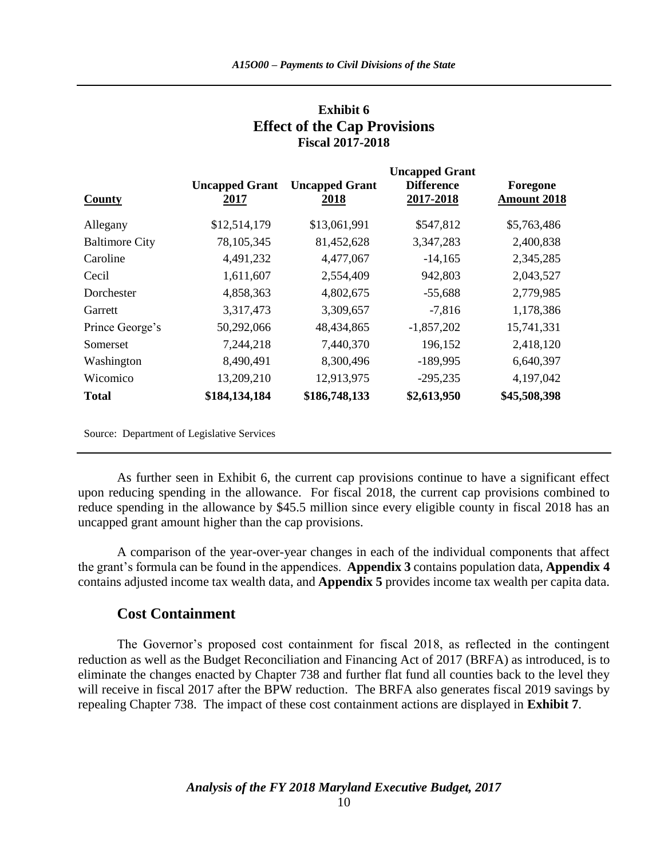| County                | <b>Uncapped Grant</b><br>2017 | <b>Uncapped Grant</b><br>2018 | <b>Uncapped Grant</b><br><b>Difference</b><br>2017-2018 | Foregone<br><b>Amount 2018</b> |
|-----------------------|-------------------------------|-------------------------------|---------------------------------------------------------|--------------------------------|
| Allegany              | \$12,514,179                  | \$13,061,991                  | \$547,812                                               | \$5,763,486                    |
| <b>Baltimore City</b> | 78, 105, 345                  | 81,452,628                    | 3,347,283                                               | 2,400,838                      |
| Caroline              | 4,491,232                     | 4,477,067                     | $-14,165$                                               | 2,345,285                      |
| Cecil                 | 1,611,607                     | 2,554,409                     | 942,803                                                 | 2,043,527                      |
| Dorchester            | 4,858,363                     | 4,802,675                     | $-55,688$                                               | 2,779,985                      |
| Garrett               | 3,317,473                     | 3,309,657                     | $-7,816$                                                | 1,178,386                      |
| Prince George's       | 50,292,066                    | 48,434,865                    | $-1,857,202$                                            | 15,741,331                     |
| Somerset              | 7,244,218                     | 7,440,370                     | 196,152                                                 | 2,418,120                      |
| Washington            | 8,490,491                     | 8,300,496                     | $-189,995$                                              | 6,640,397                      |
| Wicomico              | 13,209,210                    | 12,913,975                    | $-295,235$                                              | 4,197,042                      |
| <b>Total</b>          | \$184,134,184                 | \$186,748,133                 | \$2,613,950                                             | \$45,508,398                   |

#### **Exhibit 6 Effect of the Cap Provisions Fiscal 2017-2018**

Source: Department of Legislative Services

As further seen in Exhibit 6, the current cap provisions continue to have a significant effect upon reducing spending in the allowance. For fiscal 2018, the current cap provisions combined to reduce spending in the allowance by \$45.5 million since every eligible county in fiscal 2018 has an uncapped grant amount higher than the cap provisions.

A comparison of the year-over-year changes in each of the individual components that affect the grant's formula can be found in the appendices. **Appendix 3** contains population data, **Appendix 4** contains adjusted income tax wealth data, and **Appendix 5** provides income tax wealth per capita data.

#### **Cost Containment**

The Governor's proposed cost containment for fiscal 2018, as reflected in the contingent reduction as well as the Budget Reconciliation and Financing Act of 2017 (BRFA) as introduced, is to eliminate the changes enacted by Chapter 738 and further flat fund all counties back to the level they will receive in fiscal 2017 after the BPW reduction. The BRFA also generates fiscal 2019 savings by repealing Chapter 738. The impact of these cost containment actions are displayed in **Exhibit 7**.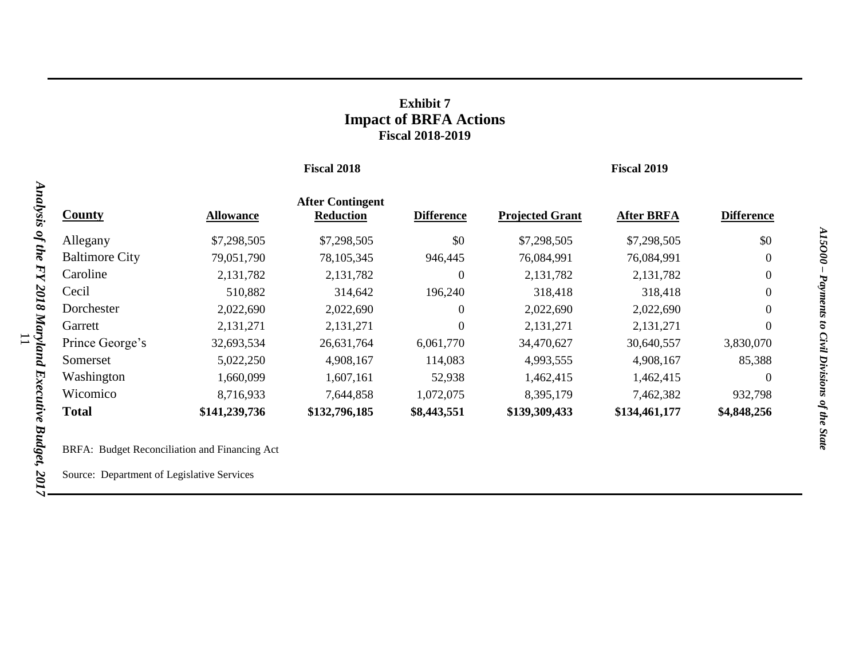## **Exhibit 7 Impact of BRFA Actions Fiscal 2018-2019**

#### **Fiscal 2018 Fiscal 2019**

|                       |                  | <b>After Contingent</b> |                   |                        |                   |                   |
|-----------------------|------------------|-------------------------|-------------------|------------------------|-------------------|-------------------|
| <b>County</b>         | <b>Allowance</b> | <b>Reduction</b>        | <b>Difference</b> | <b>Projected Grant</b> | <b>After BRFA</b> | <b>Difference</b> |
| Allegany              | \$7,298,505      | \$7,298,505             | \$0               | \$7,298,505            | \$7,298,505       | \$0               |
| <b>Baltimore City</b> | 79,051,790       | 78,105,345              | 946,445           | 76,084,991             | 76,084,991        | $\boldsymbol{0}$  |
| Caroline              | 2,131,782        | 2,131,782               | $\theta$          | 2,131,782              | 2,131,782         | $\boldsymbol{0}$  |
| Cecil                 | 510,882          | 314,642                 | 196,240           | 318,418                | 318,418           | $\boldsymbol{0}$  |
| Dorchester            | 2,022,690        | 2,022,690               | 0                 | 2,022,690              | 2,022,690         | $\mathbf{0}$      |
| Garrett               | 2,131,271        | 2,131,271               | $\overline{0}$    | 2,131,271              | 2,131,271         | $\boldsymbol{0}$  |
| Prince George's       | 32,693,534       | 26,631,764              | 6,061,770         | 34,470,627             | 30,640,557        | 3,830,070         |
| Somerset              | 5,022,250        | 4,908,167               | 114,083           | 4,993,555              | 4,908,167         | 85,388            |
| Washington            | 1,660,099        | 1,607,161               | 52,938            | 1,462,415              | 1,462,415         | $\theta$          |
| Wicomico              | 8,716,933        | 7,644,858               | 1,072,075         | 8,395,179              | 7,462,382         | 932,798           |
| <b>Total</b>          | \$141,239,736    | \$132,796,185           | \$8,443,551       | \$139,309,433          | \$134,461,177     | \$4,848,256       |
|                       |                  |                         |                   |                        |                   |                   |

BRFA: Budget Reconciliation and Financing Act

Source: Department of Legislative Services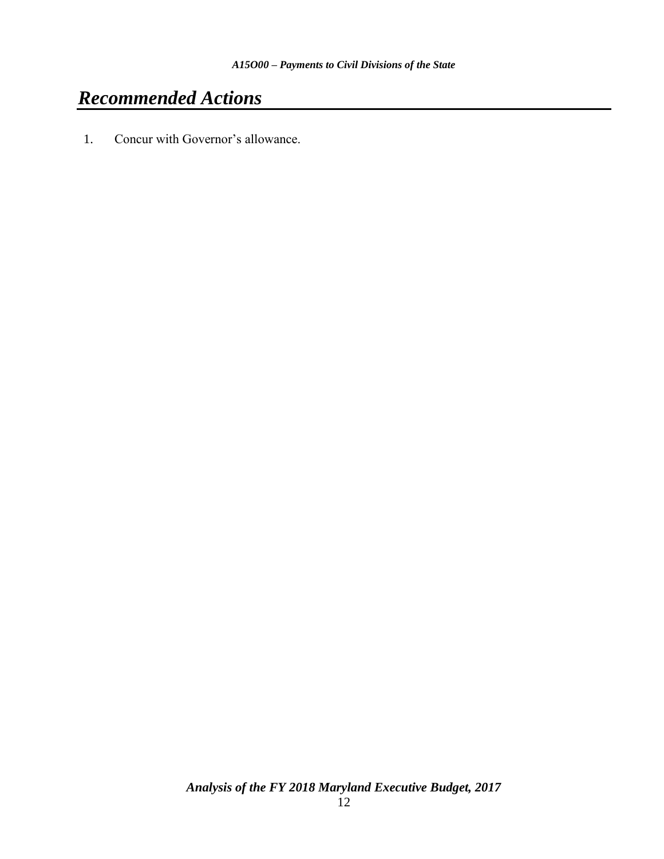# *Recommended Actions*

1. Concur with Governor's allowance.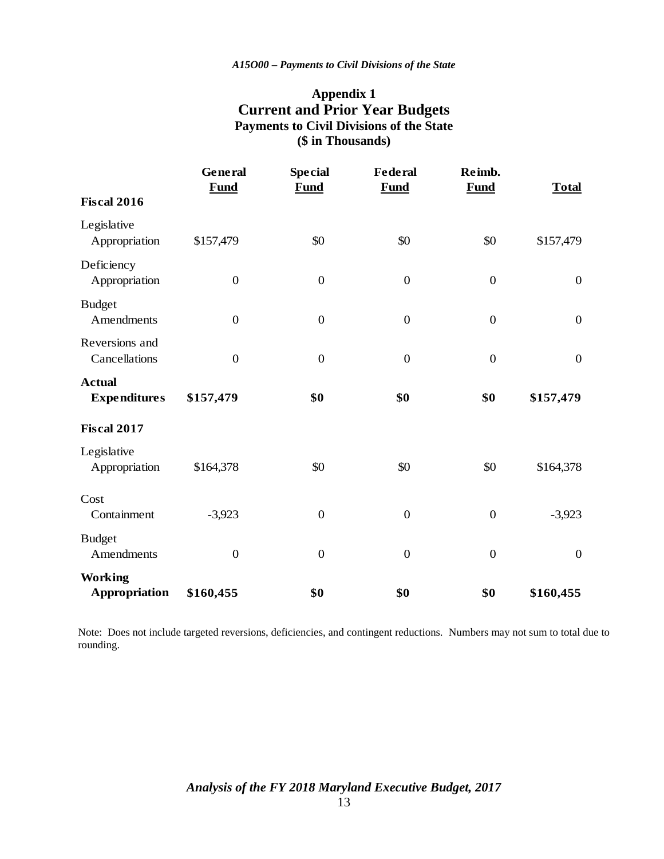#### **Appendix 1 Current and Prior Year Budgets Payments to Civil Divisions of the State (\$ in Thousands)**

|                                        | General<br><b>Fund</b> | <b>Special</b><br><b>Fund</b> | <b>Federal</b><br><b>Fund</b> | Reimb.<br><b>Fund</b> | <b>Total</b>     |
|----------------------------------------|------------------------|-------------------------------|-------------------------------|-----------------------|------------------|
| <b>Fiscal 2016</b>                     |                        |                               |                               |                       |                  |
| Legislative<br>Appropriation           | \$157,479              | \$0                           | \$0                           | \$0                   | \$157,479        |
| Deficiency<br>Appropriation            | $\overline{0}$         | $\overline{0}$                | $\boldsymbol{0}$              | $\mathbf{0}$          | $\overline{0}$   |
| <b>Budget</b><br>Amendments            | $\boldsymbol{0}$       | $\overline{0}$                | $\boldsymbol{0}$              | $\overline{0}$        | $\boldsymbol{0}$ |
| Reversions and<br>Cancellations        | $\boldsymbol{0}$       | $\overline{0}$                | $\boldsymbol{0}$              | $\boldsymbol{0}$      | $\boldsymbol{0}$ |
| <b>Actual</b><br><b>Expenditures</b>   | \$157,479              | \$0                           | \$0                           | \$0                   | \$157,479        |
| <b>Fiscal 2017</b>                     |                        |                               |                               |                       |                  |
| Legislative<br>Appropriation           | \$164,378              | \$0                           | \$0                           | \$0                   | \$164,378        |
| Cost<br>Containment                    | $-3,923$               | $\boldsymbol{0}$              | $\boldsymbol{0}$              | $\boldsymbol{0}$      | $-3,923$         |
| <b>Budget</b><br>Amendments            | $\boldsymbol{0}$       | $\overline{0}$                | $\boldsymbol{0}$              | $\mathbf{0}$          | $\boldsymbol{0}$ |
| <b>Working</b><br><b>Appropriation</b> | \$160,455              | \$0                           | \$0                           | \$0                   | \$160,455        |

Note: Does not include targeted reversions, deficiencies, and contingent reductions. Numbers may not sum to total due to rounding.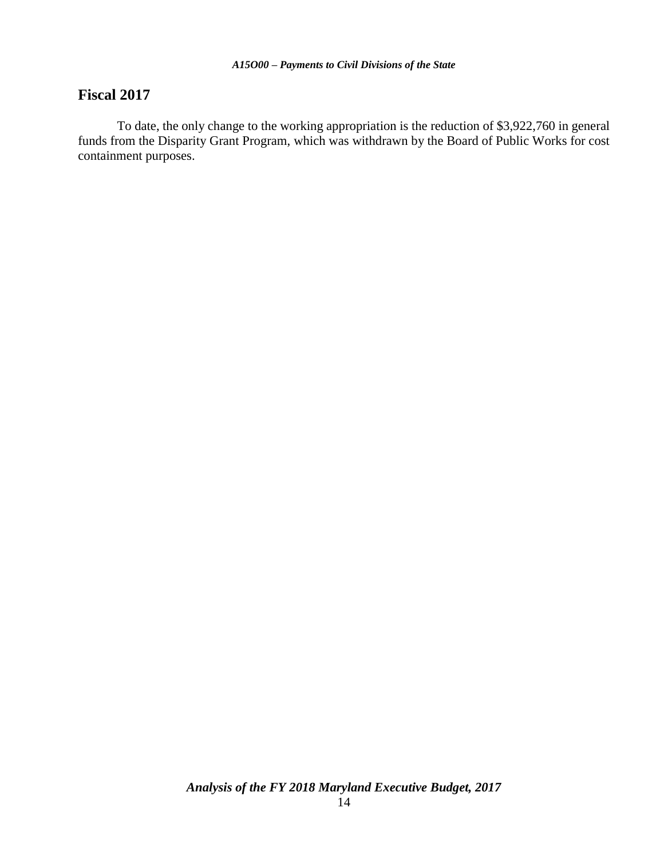#### **Fiscal 2017**

To date, the only change to the working appropriation is the reduction of \$3,922,760 in general funds from the Disparity Grant Program, which was withdrawn by the Board of Public Works for cost containment purposes.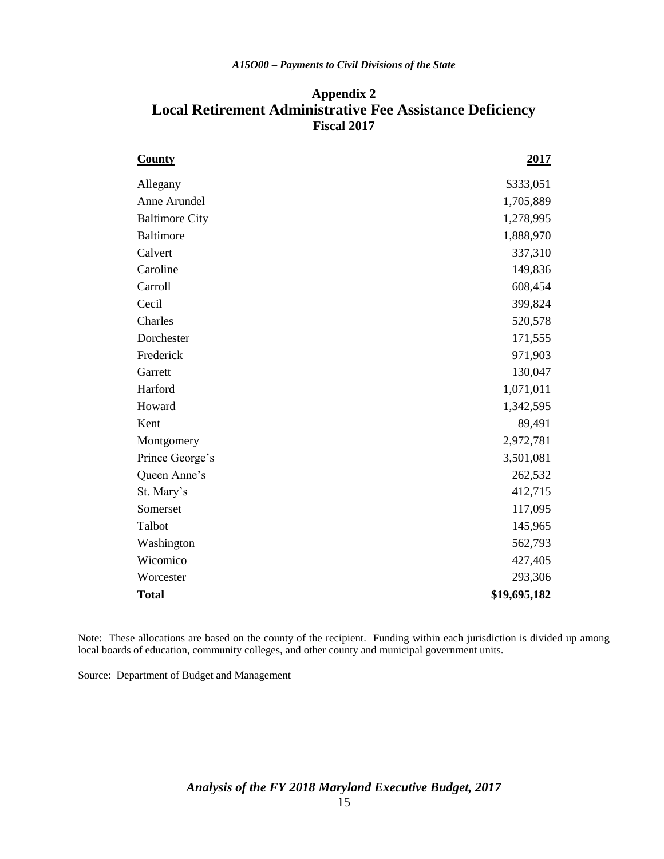#### **Appendix 2 Local Retirement Administrative Fee Assistance Deficiency Fiscal 2017**

| <b>County</b>         | 2017         |
|-----------------------|--------------|
| Allegany              | \$333,051    |
| Anne Arundel          | 1,705,889    |
| <b>Baltimore City</b> | 1,278,995    |
| <b>Baltimore</b>      | 1,888,970    |
| Calvert               | 337,310      |
| Caroline              | 149,836      |
| Carroll               | 608,454      |
| Cecil                 | 399,824      |
| Charles               | 520,578      |
| Dorchester            | 171,555      |
| Frederick             | 971,903      |
| Garrett               | 130,047      |
| Harford               | 1,071,011    |
| Howard                | 1,342,595    |
| Kent                  | 89,491       |
| Montgomery            | 2,972,781    |
| Prince George's       | 3,501,081    |
| Queen Anne's          | 262,532      |
| St. Mary's            | 412,715      |
| Somerset              | 117,095      |
| Talbot                | 145,965      |
| Washington            | 562,793      |
| Wicomico              | 427,405      |
| Worcester             | 293,306      |
| <b>Total</b>          | \$19,695,182 |

Note: These allocations are based on the county of the recipient. Funding within each jurisdiction is divided up among local boards of education, community colleges, and other county and municipal government units.

Source: Department of Budget and Management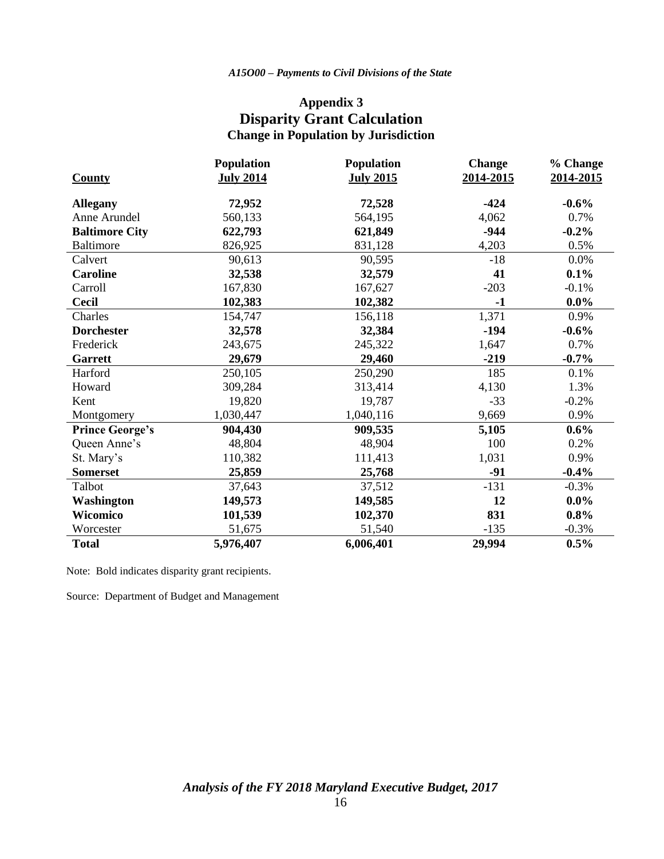## **Appendix 3 Disparity Grant Calculation Change in Population by Jurisdiction**

|                        | <b>Population</b> | Population       | <b>Change</b> | % Change  |
|------------------------|-------------------|------------------|---------------|-----------|
| <b>County</b>          | <b>July 2014</b>  | <b>July 2015</b> | 2014-2015     | 2014-2015 |
| <b>Allegany</b>        | 72,952            | 72,528           | $-424$        | $-0.6\%$  |
| Anne Arundel           | 560,133           | 564,195          | 4,062         | 0.7%      |
| <b>Baltimore City</b>  | 622,793           | 621,849          | $-944$        | $-0.2%$   |
| <b>Baltimore</b>       | 826,925           | 831,128          | 4,203         | 0.5%      |
| Calvert                | 90,613            | 90,595           | $-18$         | $0.0\%$   |
| <b>Caroline</b>        | 32,538            | 32,579           | 41            | $0.1\%$   |
| Carroll                | 167,830           | 167,627          | $-203$        | $-0.1%$   |
| <b>Cecil</b>           | 102,383           | 102,382          | $-1$          | $0.0\%$   |
| Charles                | 154,747           | 156,118          | 1,371         | 0.9%      |
| <b>Dorchester</b>      | 32,578            | 32,384           | $-194$        | $-0.6\%$  |
| Frederick              | 243,675           | 245,322          | 1,647         | 0.7%      |
| <b>Garrett</b>         | 29,679            | 29,460           | $-219$        | $-0.7\%$  |
| Harford                | 250,105           | 250,290          | 185           | 0.1%      |
| Howard                 | 309,284           | 313,414          | 4,130         | 1.3%      |
| Kent                   | 19,820            | 19,787           | $-33$         | $-0.2%$   |
| Montgomery             | 1,030,447         | 1,040,116        | 9,669         | 0.9%      |
| <b>Prince George's</b> | 904,430           | 909,535          | 5,105         | $0.6\%$   |
| Queen Anne's           | 48,804            | 48,904           | 100           | 0.2%      |
| St. Mary's             | 110,382           | 111,413          | 1,031         | 0.9%      |
| <b>Somerset</b>        | 25,859            | 25,768           | $-91$         | $-0.4%$   |
| Talbot                 | 37,643            | 37,512           | $-131$        | $-0.3%$   |
| Washington             | 149,573           | 149,585          | 12            | $0.0\%$   |
| Wicomico               | 101,539           | 102,370          | 831           | 0.8%      |
| Worcester              | 51,675            | 51,540           | $-135$        | $-0.3%$   |
| <b>Total</b>           | 5,976,407         | 6,006,401        | 29,994        | 0.5%      |

Note: Bold indicates disparity grant recipients.

Source: Department of Budget and Management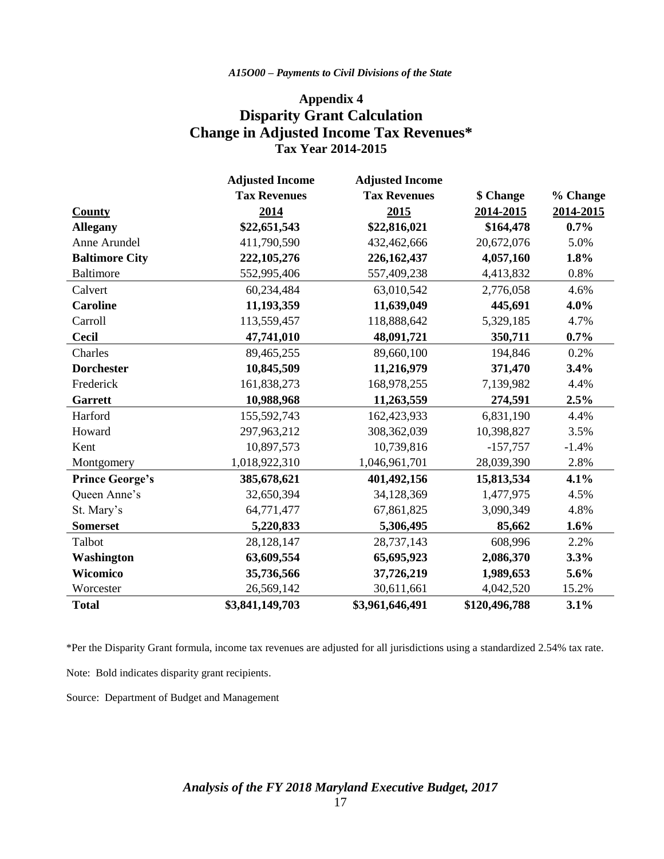#### *A15O00 – Payments to Civil Divisions of the State*

#### **Appendix 4 Disparity Grant Calculation Change in Adjusted Income Tax Revenues\* Tax Year 2014-2015**

|                        | <b>Adjusted Income</b> | <b>Adjusted Income</b> |               |           |
|------------------------|------------------------|------------------------|---------------|-----------|
|                        | <b>Tax Revenues</b>    | <b>Tax Revenues</b>    | \$ Change     | % Change  |
| County                 | 2014                   | 2015                   | 2014-2015     | 2014-2015 |
| <b>Allegany</b>        | \$22,651,543           | \$22,816,021           | \$164,478     | $0.7\%$   |
| Anne Arundel           | 411,790,590            | 432,462,666            | 20,672,076    | 5.0%      |
| <b>Baltimore City</b>  | 222,105,276            | 226,162,437            | 4,057,160     | 1.8%      |
| <b>Baltimore</b>       | 552,995,406            | 557,409,238            | 4,413,832     | 0.8%      |
| Calvert                | 60,234,484             | 63,010,542             | 2,776,058     | 4.6%      |
| <b>Caroline</b>        | 11,193,359             | 11,639,049             | 445,691       | 4.0%      |
| Carroll                | 113,559,457            | 118,888,642            | 5,329,185     | 4.7%      |
| <b>Cecil</b>           | 47,741,010             | 48,091,721             | 350,711       | 0.7%      |
| Charles                | 89,465,255             | 89,660,100             | 194,846       | 0.2%      |
| <b>Dorchester</b>      | 10,845,509             | 11,216,979             | 371,470       | 3.4%      |
| Frederick              | 161,838,273            | 168,978,255            | 7,139,982     | 4.4%      |
| Garrett                | 10,988,968             | 11,263,559             | 274,591       | 2.5%      |
| Harford                | 155,592,743            | 162,423,933            | 6,831,190     | 4.4%      |
| Howard                 | 297,963,212            | 308,362,039            | 10,398,827    | 3.5%      |
| Kent                   | 10,897,573             | 10,739,816             | $-157,757$    | $-1.4%$   |
| Montgomery             | 1,018,922,310          | 1,046,961,701          | 28,039,390    | 2.8%      |
| <b>Prince George's</b> | 385,678,621            | 401,492,156            | 15,813,534    | 4.1%      |
| Queen Anne's           | 32,650,394             | 34,128,369             | 1,477,975     | 4.5%      |
| St. Mary's             | 64,771,477             | 67,861,825             | 3,090,349     | 4.8%      |
| <b>Somerset</b>        | 5,220,833              | 5,306,495              | 85,662        | 1.6%      |
| Talbot                 | 28,128,147             | 28,737,143             | 608,996       | 2.2%      |
| Washington             | 63,609,554             | 65,695,923             | 2,086,370     | 3.3%      |
| Wicomico               | 35,736,566             | 37,726,219             | 1,989,653     | 5.6%      |
| Worcester              | 26,569,142             | 30,611,661             | 4,042,520     | 15.2%     |
| <b>Total</b>           | \$3,841,149,703        | \$3,961,646,491        | \$120,496,788 | 3.1%      |

\*Per the Disparity Grant formula, income tax revenues are adjusted for all jurisdictions using a standardized 2.54% tax rate.

Note: Bold indicates disparity grant recipients.

Source: Department of Budget and Management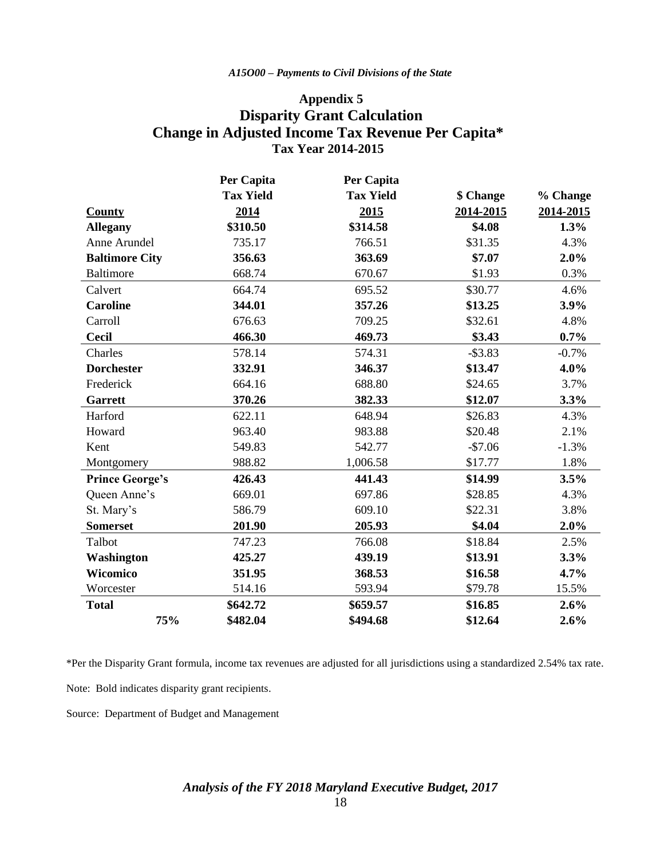#### *A15O00 – Payments to Civil Divisions of the State*

#### **Appendix 5 Disparity Grant Calculation Change in Adjusted Income Tax Revenue Per Capita\* Tax Year 2014-2015**

|                        | Per Capita       | Per Capita       |            |           |  |
|------------------------|------------------|------------------|------------|-----------|--|
|                        | <b>Tax Yield</b> | <b>Tax Yield</b> | \$ Change  | % Change  |  |
| <b>County</b>          | 2014             | 2015             | 2014-2015  | 2014-2015 |  |
| <b>Allegany</b>        | \$310.50         | \$314.58         | \$4.08     | 1.3%      |  |
| Anne Arundel           | 735.17           | 766.51           | \$31.35    | 4.3%      |  |
| <b>Baltimore City</b>  | 356.63           | 363.69           | \$7.07     | 2.0%      |  |
| <b>Baltimore</b>       | 668.74           | 670.67           | \$1.93     | 0.3%      |  |
| Calvert                | 664.74           | 695.52           | \$30.77    | 4.6%      |  |
| <b>Caroline</b>        | 344.01           | 357.26           | \$13.25    | 3.9%      |  |
| Carroll                | 676.63           | 709.25           | \$32.61    | 4.8%      |  |
| <b>Cecil</b>           | 466.30           | 469.73           | \$3.43     | 0.7%      |  |
| Charles                | 578.14           | 574.31           | $-$ \$3.83 | $-0.7%$   |  |
| <b>Dorchester</b>      | 332.91           | 346.37           | \$13.47    | 4.0%      |  |
| Frederick              | 664.16           | 688.80           | \$24.65    | 3.7%      |  |
| <b>Garrett</b>         | 370.26           | 382.33           | \$12.07    | 3.3%      |  |
| Harford                | 622.11           | 648.94           | \$26.83    | 4.3%      |  |
| Howard                 | 963.40           | 983.88           | \$20.48    | 2.1%      |  |
| Kent                   | 549.83           | 542.77           | $-$7.06$   | $-1.3%$   |  |
| Montgomery             | 988.82           | 1,006.58         | \$17.77    | 1.8%      |  |
| <b>Prince George's</b> | 426.43           | 441.43           | \$14.99    | 3.5%      |  |
| Queen Anne's           | 669.01           | 697.86           | \$28.85    | 4.3%      |  |
| St. Mary's             | 586.79           | 609.10           | \$22.31    | 3.8%      |  |
| <b>Somerset</b>        | 201.90           | 205.93           | \$4.04     | 2.0%      |  |
| Talbot                 | 747.23           | 766.08           | \$18.84    | 2.5%      |  |
| Washington             | 425.27           | 439.19           | \$13.91    | 3.3%      |  |
| <b>Wicomico</b>        | 351.95           | 368.53           | \$16.58    | 4.7%      |  |
| Worcester              | 514.16           | 593.94           | \$79.78    | 15.5%     |  |
| <b>Total</b>           | \$642.72         | \$659.57         | \$16.85    | 2.6%      |  |
| 75%                    | \$482.04         | \$494.68         | \$12.64    | 2.6%      |  |

\*Per the Disparity Grant formula, income tax revenues are adjusted for all jurisdictions using a standardized 2.54% tax rate.

Note: Bold indicates disparity grant recipients.

Source: Department of Budget and Management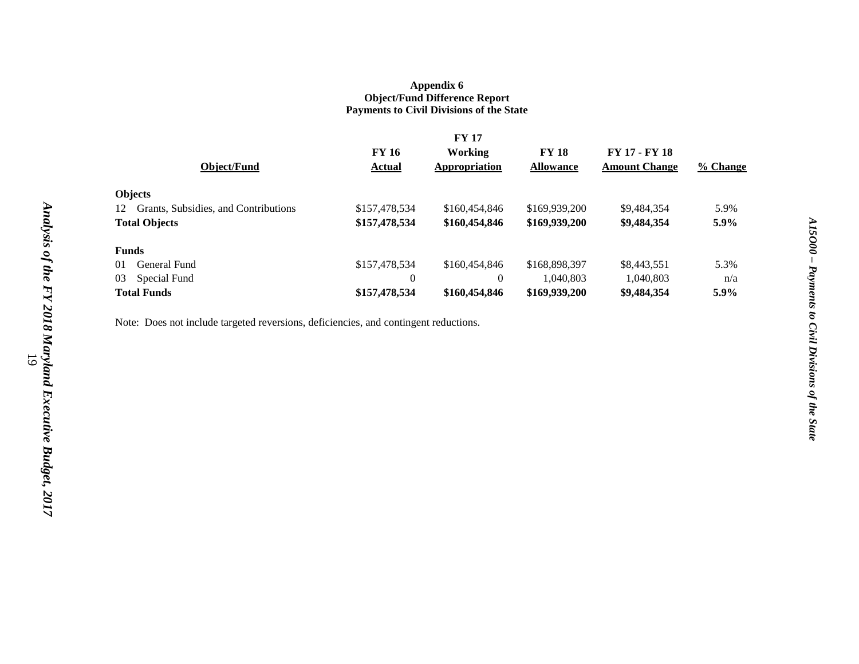#### **Appendix 6 Object/Fund Difference Report Payments to Civil Divisions of the State**

|              |                                      | <b>FY 17</b>  |               |                  |                      |          |  |
|--------------|--------------------------------------|---------------|---------------|------------------|----------------------|----------|--|
|              |                                      | <b>FY 16</b>  | Working       | <b>FY 18</b>     | <b>FY 17 - FY 18</b> |          |  |
|              | Object/Fund                          | <b>Actual</b> | Appropriation | <b>Allowance</b> | <b>Amount Change</b> | % Change |  |
|              | <b>Objects</b>                       |               |               |                  |                      |          |  |
| 12           | Grants, Subsidies, and Contributions | \$157,478,534 | \$160,454,846 | \$169,939,200    | \$9,484,354          | 5.9%     |  |
|              | <b>Total Objects</b>                 | \$157,478,534 | \$160,454,846 | \$169,939,200    | \$9,484,354          | 5.9%     |  |
| <b>Funds</b> |                                      |               |               |                  |                      |          |  |
| 01           | General Fund                         | \$157,478,534 | \$160,454,846 | \$168,898,397    | \$8,443,551          | 5.3%     |  |
| 03           | Special Fund                         | $\Omega$      | $\Omega$      | 1,040,803        | 1,040,803            | n/a      |  |
|              | <b>Total Funds</b>                   | \$157,478,534 | \$160,454,846 | \$169,939,200    | \$9,484,354          | 5.9%     |  |

Note: Does not include targeted reversions, deficiencies, and contingent reductions.